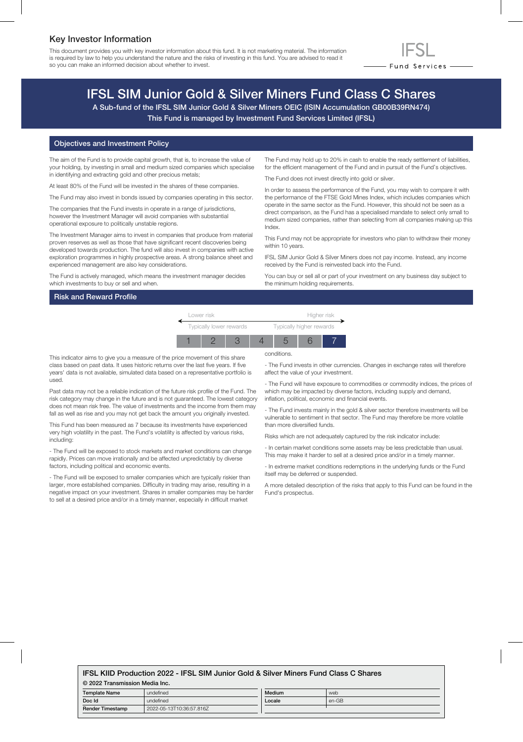## Key Investor Information

This document provides you with key investor information about this fund. It is not marketing material. The information is required by law to help you understand the nature and the risks of investing in this fund. You are advised to read it so you can make an informed decision about whether to invest.



# IFSL SIM Junior Gold & Silver Miners Fund Class C Shares

A Sub-fund of the IFSL SIM Junior Gold & Silver Miners OEIC (ISIN Accumulation GB00B39RN474) This Fund is managed by Investment Fund Services Limited (IFSL)

#### Objectives and Investment Policy

The aim of the Fund is to provide capital growth, that is, to increase the value of your holding, by investing in small and medium sized companies which specialise in identifying and extracting gold and other precious metals;

At least 80% of the Fund will be invested in the shares of these companies.

The Fund may also invest in bonds issued by companies operating in this sector.

The companies that the Fund invests in operate in a range of jurisdictions, however the Investment Manager will avoid companies with substantial operational exposure to politically unstable regions.

The Investment Manager aims to invest in companies that produce from material proven reserves as well as those that have significant recent discoveries being developed towards production. The fund will also invest in companies with active exploration programmes in highly prospective areas. A strong balance sheet and experienced management are also key considerations.

The Fund is actively managed, which means the investment manager decides which investments to buy or sell and when.

## Risk and Reward Profile

The Fund may hold up to 20% in cash to enable the ready settlement of liabilities, for the efficient management of the Fund and in pursuit of the Fund's objectives.

The Fund does not invest directly into gold or silver.

In order to assess the performance of the Fund, you may wish to compare it with the performance of the FTSE Gold Mines Index, which includes companies which operate in the same sector as the Fund. However, this should not be seen as a direct comparison, as the Fund has a specialised mandate to select only small to medium sized companies, rather than selecting from all companies making up this Index.

This Fund may not be appropriate for investors who plan to withdraw their money within 10 years.

IFSL SIM Junior Gold & Silver Miners does not pay income. Instead, any income received by the Fund is reinvested back into the Fund.

You can buy or sell all or part of your investment on any business day subject to the minimum holding requirements.

|  | Lower risk              |  |  |                          | Higher risk |  |  |
|--|-------------------------|--|--|--------------------------|-------------|--|--|
|  | Typically lower rewards |  |  | Typically higher rewards |             |  |  |
|  |                         |  |  |                          |             |  |  |

This indicator aims to give you a measure of the price movement of this share class based on past data. It uses historic returns over the last five years. If five years' data is not available, simulated data based on a representative portfolio is used.

Past data may not be a reliable indication of the future risk profile of the Fund. The risk category may change in the future and is not guaranteed. The lowest category does not mean risk free. The value of investments and the income from them may fall as well as rise and you may not get back the amount you originally invested.

This Fund has been measured as 7 because its investments have experienced very high volatility in the past. The Fund's volatility is affected by various risks, including:

- The Fund will be exposed to stock markets and market conditions can change rapidly. Prices can move irrationally and be affected unpredictably by diverse factors, including political and economic events.

- The Fund will be exposed to smaller companies which are typically riskier than larger, more established companies. Difficulty in trading may arise, resulting in a negative impact on your investment. Shares in smaller companies may be harder to sell at a desired price and/or in a timely manner, especially in difficult market

conditions.

- The Fund invests in other currencies. Changes in exchange rates will therefore affect the value of your investment.

- The Fund will have exposure to commodities or commodity indices, the prices of which may be impacted by diverse factors, including supply and demand, inflation, political, economic and financial events.

- The Fund invests mainly in the gold & silver sector therefore investments will be vulnerable to sentiment in that sector. The Fund may therefore be more volatile than more diversified funds.

Risks which are not adequately captured by the risk indicator include:

- In certain market conditions some assets may be less predictable than usual. This may make it harder to sell at a desired price and/or in a timely manner.

- In extreme market conditions redemptions in the underlying funds or the Fund itself may be deferred or suspended.

A more detailed description of the risks that apply to this Fund can be found in the Fund's prospectus.